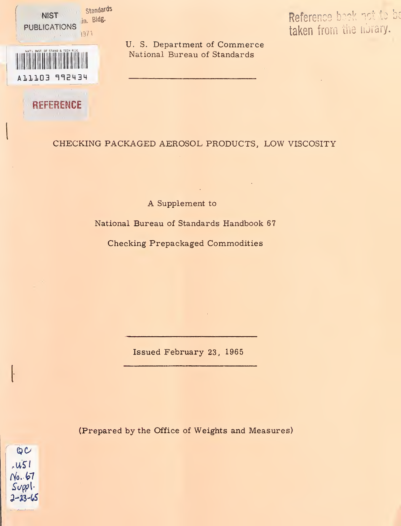



**REFERENCE** 

U. S. Department of Commerce National Bureau of Standards

Reference book not to be taken from the norary.

## CHECKING PACKAGED AEROSOL PRODUCTS, LOW VISCOSITY

A Supplement to

National Bureau of Standards Handbook 67

Checking Prepackaged Commodities

Issued February 23, 1965

(Prepared by the Office of Weights and Measures)

 $QC$  $W51$ /Vo.  $Supl$ .  $2 - 23 - 65$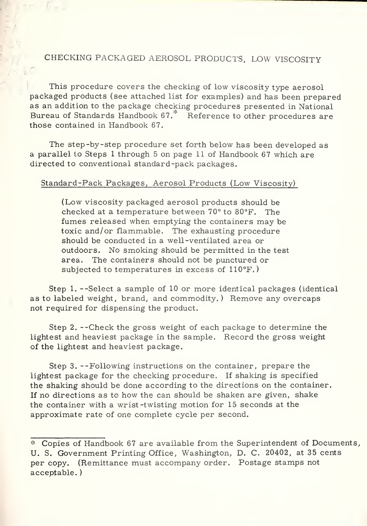## CHECKING PACKAGED AEROSOL PRODUCTS, LOW VISCOSITY

This procedure covers the checking of low viscosity type aerosol packaged products (see attached list for examples) and has been prepared as an addition to the package checking procedures presented in National Bureau of Standards Handbook 67.\* Reference to other procedures are those contained in Handbook 67.

The step-by-step procedure set forth below has been developed as a parallel to Steps <sup>1</sup> through <sup>5</sup> on page <sup>11</sup> of Handbook 67 which are directed to conventional standard-pack packages.

## Standard-Pack Packages, Aerosol Products (Low Viscosity)

(Low viscosity packaged aerosol products should be checked at a temperature between 70° to 80°F. The fumes released when emptying the containers may be toxic and/or flammable. The exhausting procedure should be conducted in a well-ventilated area or outdoors. No smoking should be permitted in the test area. The containers should not be punctured or subjected to temperatures in excess of 110°F.)

Step 1. - -Select a sample of 10 or more identical packages (identical as to labeled weight, brand, and commodity.) Remove any overcaps not required for dispensing the product.

Step 2. - - Check the gross weight of each package to determine the lightest and heaviest package in the sample. Record the gross weight of the lightest and heaviest package.

Step 3. --Following instructions on the container, prepare the lightest package for the checking procedure. If shaking is specified the shaking should be done according to the directions on the container. If no directions as to how the can should be shaken are given, shake the container with a wrist-twisting motion for 15 seconds at the approximate rate of one complete cycle per second.

<sup>\*</sup> Copies of Handbook 67 are available from the Superintendent of Document U. S. Government Printing Office, Washington, D. C. 20402, at 35 cents per copy. (Remittance must accompany order. Postage stamps not acceptable. )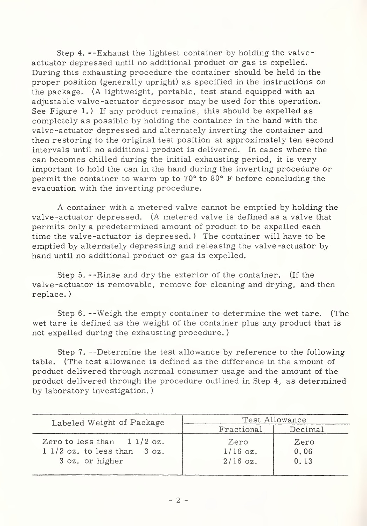Step 4, --Exhaust the lightest container by holding the valve actuator depressed until no additional product or gas is expelled. During this exhausting procedure the container should be held in the proper position (generally upright) as specified in the instructions on the package. (A lightweight, portable, test stand equipped with an adjustable valve-actuator depressor may be used for this operation. See Figure 1.) If any product remains, this should be expelled as completely as possible by holding the container in the hand with the valve-actuator depressed and alternately inverting the container and then restoring to the original test position at approximately ten second intervals until no additional product is delivered. In cases where the can becomes chilled during the initial exhausting period, it is very important to hold the can in the hand during the inverting procedure or permit the container to warm up to 70° to 80° F before concluding the evacuation with the inverting procedure.

A container with a metered valve cannot be emptied by holding the valve-actuator depressed. (A metered valve is defined as a valve that permits only a predetermined amount of product to be expelled each time the valve-actuator is depressed. ) The container will have to be emptied by alternately depressing and releasing the valve-actuator by hand until no additional product or gas is expelled.

Step 5. - -Rinse and dry the exterior of the container. (If the valve-actuator is removable, remove for cleaning and drying, and then replace.)

Step 6. --Weigh the empty container to determine the wet tare. (The wet tare is defined as the weight of the container plus any product that is not expelled during the exhausting procedure. )

Step 7. --Determine the test allowance by reference to the following table. (The test allowance is defined as the difference in the amount of product delivered through normal consumer usage and the amount of the product delivered through the procedure outlined in Step 4, as determined by laboratory investigation. )

| Labeled Weight of Package                                                        | Test Allowance                   |                      |
|----------------------------------------------------------------------------------|----------------------------------|----------------------|
|                                                                                  | Fractional                       | Decimal              |
| Zero to less than $1/2$ oz.<br>$1/2$ oz. to less than $3$ oz.<br>3 oz. or higher | Zero<br>$1/16$ oz.<br>$2/16$ oz. | Zero<br>0.06<br>0.13 |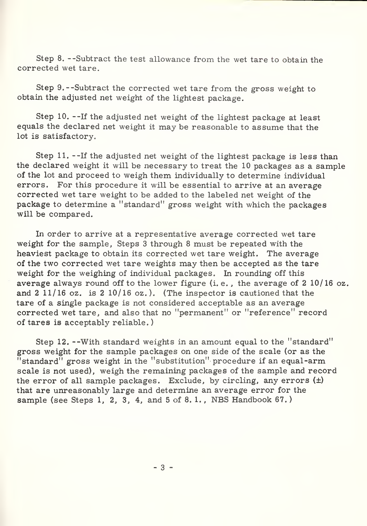Step 8. --Subtract the test allowance from the wet tare to obtain the corrected wet tare.

Step 9.--Subtract the corrected wet tare from the gross weight to obtain the adjusted net weight of the lightest package.

Step 10. --If the adjusted net weight of the lightest package at least equals the declared net weight it may be reasonable to assume that the lot is satisfactory.

Step 11. - -If the adjusted net weight of the lightest package is less than the declared weight it will be necessary to treat the <sup>10</sup> packages as a sample of the lot and proceed to weigh them individually to determine individual errors. For this procedure it will be essential to arrive at an average corrected wet tare weight to be added to the labeled net weight of the package to determine a "standard" gross weight with which the packages will be compared.

In order to arrive at a representative average corrected wet tare weight for the sample. Steps <sup>3</sup> through <sup>8</sup> must be repeated with the heaviest package to obtain its corrected wet tare weight. The average of the two corrected wet tare weights may then be accepted as the tare weight for the weighing of individual packages. In rounding off this average always round off to the lower figure (i. e. , the average of <sup>2</sup> 10/16 oz. and  $2 \frac{11}{16}$  oz. is  $2 \frac{10}{16}$  oz.). (The inspector is cautioned that the tare of a single package is not considered acceptable as an average corrected wet tare, and also that no "permanent" or "reference" record of tares is acceptably reliable.)

Step 12. --With standard weights in an amount equal to the "standard" gross weight for the sample packages on one side of the scale (or as the "standard" gross weight in the "substitution" procedure if an equal-arm scale is not used), weigh the remaining packages of the sample and record the error of all sample packages. Exclude, by circling, any errors (±) that are unreasonably large and determine an average error for the sample (see Steps 1, 2, 3, 4, and 5 of 8.1., NBS Handbook  $67$ .)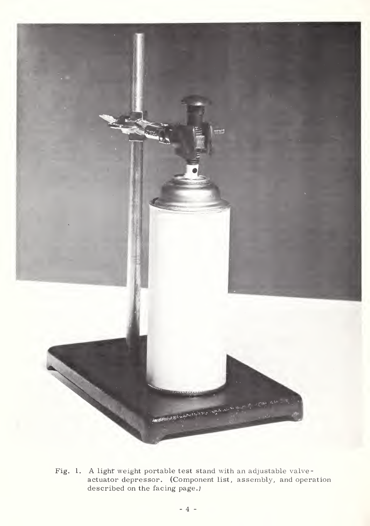

Fig. 1. A light weight portable test stand with an adjustable valve actuator depressor. (Component list, assembly, and operation described on the facing page.)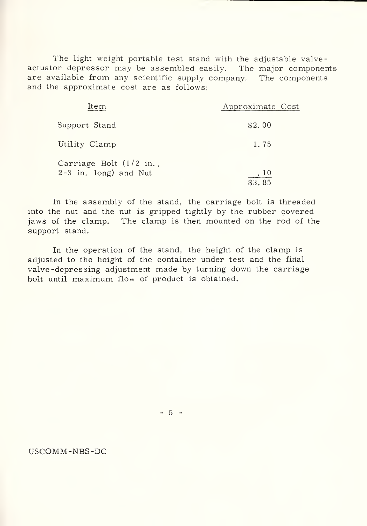The light weight portable test stand with the adjustable valveactuator depressor may be assembled easily. The major components are available from any scientific supply company. The components and the approximate cost are as follows:

| Item                                               | Approximate Cost      |
|----------------------------------------------------|-----------------------|
| Support Stand                                      | \$2.00                |
| Utility Clamp                                      | 1.75                  |
| Carriage Bolt (1/2 in.,<br>$2-3$ in. long) and Nut | <u>. 10</u><br>\$3.85 |

In the assembly of the stand, the carriage bolt is threaded into the nut and the nut is gripped tightly by the rubber covered jaws of the clamp. The clamp is then mounted on the rod of the support stand.

In the operation of the stand, the height of the clamp is adjusted to the height of the container under test and the final valve-depressing adjustment made by turning down the carriage bolt until maximum flow of product is obtained.

 $-5 -$ 

USCOMM-NBS-DC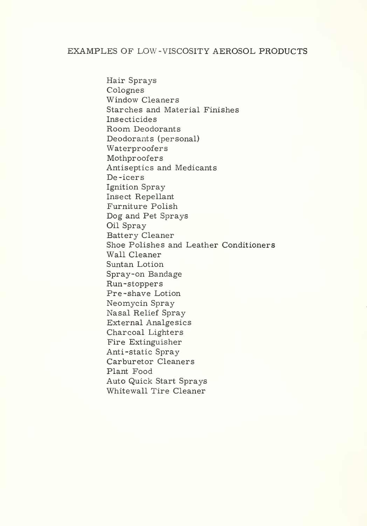## EXAMPLES OF LOW-VISCOSITY AEROSOL PRODUCTS

Hair Sprays Colognes Window Cleaners Starches and Material Finishes Insecticides Room Deodorants Deodorants (personal) Waterproofers Mothproofers Antiseptics and Medicants De-icers Ignition Spray Insect Repellant Furniture Polish Dog and Pet Sprays Oil Spray Battery Cleaner Shoe Polishes and Leather Conditioners Wall Cleaner Suntan Lotion Spray-on Bandage Run-stoppers Pre-shave Lotion Neomycin Spray Nasal Relief Spray External Analgesics Charcoal Lighters Fire Extinguisher Anti-static Spray Carburetor Cleaners Plant Food Auto Quick Start Sprays Whitewall Tire Cleaner